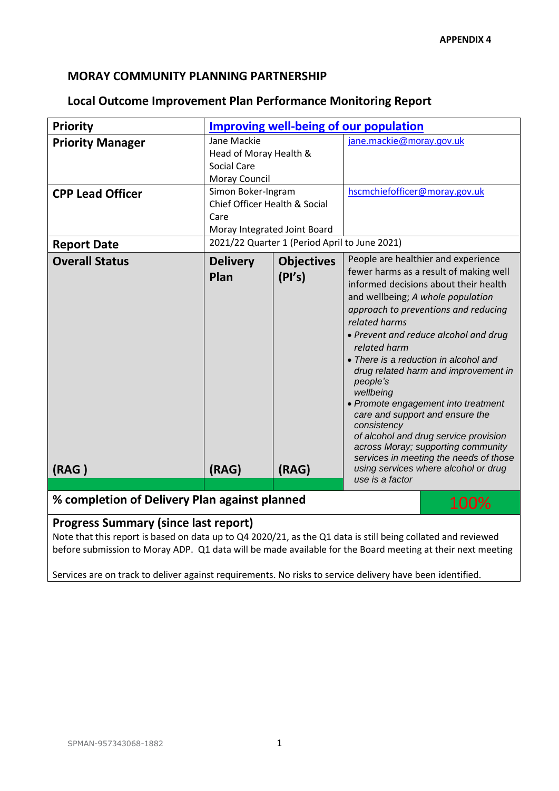## **MORAY COMMUNITY PLANNING PARTNERSHIP**

## **Local Outcome Improvement Plan Performance Monitoring Report**

| <b>Priority</b>                                                                                                                                             | <b>Improving well-being of our population</b>                                                                                                                               |                                      |                                                                                                                                                                                                                                                                                                                                                                                                                                                                                                                                                                                                                                                                      |  |  |
|-------------------------------------------------------------------------------------------------------------------------------------------------------------|-----------------------------------------------------------------------------------------------------------------------------------------------------------------------------|--------------------------------------|----------------------------------------------------------------------------------------------------------------------------------------------------------------------------------------------------------------------------------------------------------------------------------------------------------------------------------------------------------------------------------------------------------------------------------------------------------------------------------------------------------------------------------------------------------------------------------------------------------------------------------------------------------------------|--|--|
| <b>Priority Manager</b><br><b>CPP Lead Officer</b>                                                                                                          | Jane Mackie<br>Head of Moray Health &<br><b>Social Care</b><br>Moray Council<br>Simon Boker-Ingram<br>Chief Officer Health & Social<br>Care<br>Moray Integrated Joint Board |                                      | jane.mackie@moray.gov.uk<br>hscmchiefofficer@moray.gov.uk                                                                                                                                                                                                                                                                                                                                                                                                                                                                                                                                                                                                            |  |  |
| <b>Report Date</b>                                                                                                                                          | 2021/22 Quarter 1 (Period April to June 2021)                                                                                                                               |                                      |                                                                                                                                                                                                                                                                                                                                                                                                                                                                                                                                                                                                                                                                      |  |  |
| <b>Overall Status</b><br>(RAG)                                                                                                                              | <b>Delivery</b><br>Plan<br>(RAG)                                                                                                                                            | <b>Objectives</b><br>(PI's)<br>(RAG) | People are healthier and experience<br>fewer harms as a result of making well<br>informed decisions about their health<br>and wellbeing; A whole population<br>approach to preventions and reducing<br>related harms<br>• Prevent and reduce alcohol and drug<br>related harm<br>• There is a reduction in alcohol and<br>drug related harm and improvement in<br>people's<br>wellbeing<br>• Promote engagement into treatment<br>care and support and ensure the<br>consistency<br>of alcohol and drug service provision<br>across Moray; supporting community<br>services in meeting the needs of those<br>using services where alcohol or drug<br>use is a factor |  |  |
| % completion of Delivery Plan against planned<br>100%                                                                                                       |                                                                                                                                                                             |                                      |                                                                                                                                                                                                                                                                                                                                                                                                                                                                                                                                                                                                                                                                      |  |  |
| <b>Progress Summary (since last report)</b><br>Note that this report is based on data up to Q4 2020/21, as the Q1 data is still being collated and reviewed |                                                                                                                                                                             |                                      |                                                                                                                                                                                                                                                                                                                                                                                                                                                                                                                                                                                                                                                                      |  |  |

before submission to Moray ADP. Q1 data will be made available for the Board meeting at their next meeting

Services are on track to deliver against requirements. No risks to service delivery have been identified.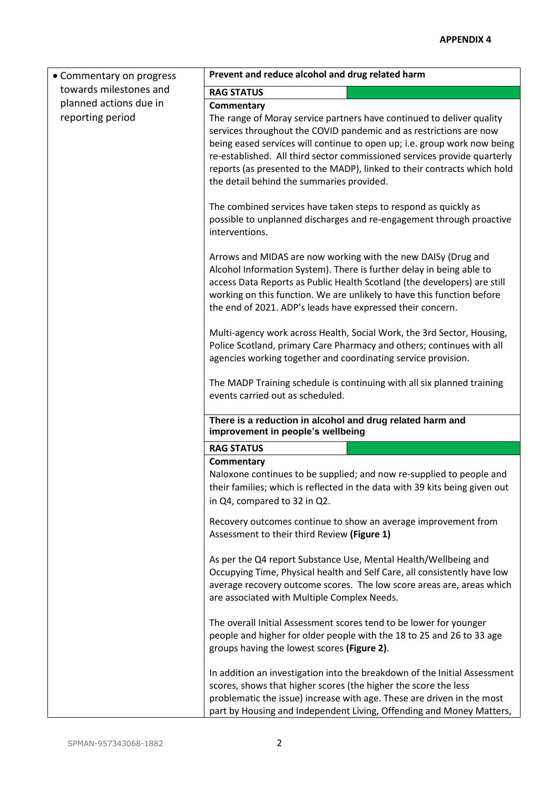| • Commentary on progress                   | Prevent and reduce alcohol and drug related harm                                                                                                                                                                                                                                                                                                                                                                                           |  |  |  |
|--------------------------------------------|--------------------------------------------------------------------------------------------------------------------------------------------------------------------------------------------------------------------------------------------------------------------------------------------------------------------------------------------------------------------------------------------------------------------------------------------|--|--|--|
| towards milestones and                     | <b>RAG STATUS</b>                                                                                                                                                                                                                                                                                                                                                                                                                          |  |  |  |
| planned actions due in<br>reporting period | Commentary<br>The range of Moray service partners have continued to deliver quality<br>services throughout the COVID pandemic and as restrictions are now<br>being eased services will continue to open up; i.e. group work now being<br>re-established. All third sector commissioned services provide quarterly<br>reports (as presented to the MADP), linked to their contracts which hold<br>the detail behind the summaries provided. |  |  |  |
|                                            | The combined services have taken steps to respond as quickly as<br>possible to unplanned discharges and re-engagement through proactive<br>interventions.                                                                                                                                                                                                                                                                                  |  |  |  |
|                                            | Arrows and MIDAS are now working with the new DAISy (Drug and<br>Alcohol Information System). There is further delay in being able to<br>access Data Reports as Public Health Scotland (the developers) are still<br>working on this function. We are unlikely to have this function before<br>the end of 2021. ADP's leads have expressed their concern.                                                                                  |  |  |  |
|                                            | Multi-agency work across Health, Social Work, the 3rd Sector, Housing,<br>Police Scotland, primary Care Pharmacy and others; continues with all<br>agencies working together and coordinating service provision.                                                                                                                                                                                                                           |  |  |  |
|                                            | The MADP Training schedule is continuing with all six planned training<br>events carried out as scheduled.                                                                                                                                                                                                                                                                                                                                 |  |  |  |
|                                            | There is a reduction in alcohol and drug related harm and<br>improvement in people's wellbeing                                                                                                                                                                                                                                                                                                                                             |  |  |  |
|                                            | <b>RAG STATUS</b>                                                                                                                                                                                                                                                                                                                                                                                                                          |  |  |  |
|                                            | Commentary<br>Naloxone continues to be supplied; and now re-supplied to people and<br>their families; which is reflected in the data with 39 kits being given out<br>in Q4, compared to 32 in Q2.                                                                                                                                                                                                                                          |  |  |  |
|                                            | Recovery outcomes continue to show an average improvement from<br>Assessment to their third Review (Figure 1)                                                                                                                                                                                                                                                                                                                              |  |  |  |
|                                            | As per the Q4 report Substance Use, Mental Health/Wellbeing and<br>Occupying Time, Physical health and Self Care, all consistently have low<br>average recovery outcome scores. The low score areas are, areas which<br>are associated with Multiple Complex Needs.                                                                                                                                                                        |  |  |  |
|                                            | The overall Initial Assessment scores tend to be lower for younger<br>people and higher for older people with the 18 to 25 and 26 to 33 age<br>groups having the lowest scores (Figure 2).                                                                                                                                                                                                                                                 |  |  |  |
|                                            | In addition an investigation into the breakdown of the Initial Assessment<br>scores, shows that higher scores (the higher the score the less<br>problematic the issue) increase with age. These are driven in the most<br>part by Housing and Independent Living, Offending and Money Matters,                                                                                                                                             |  |  |  |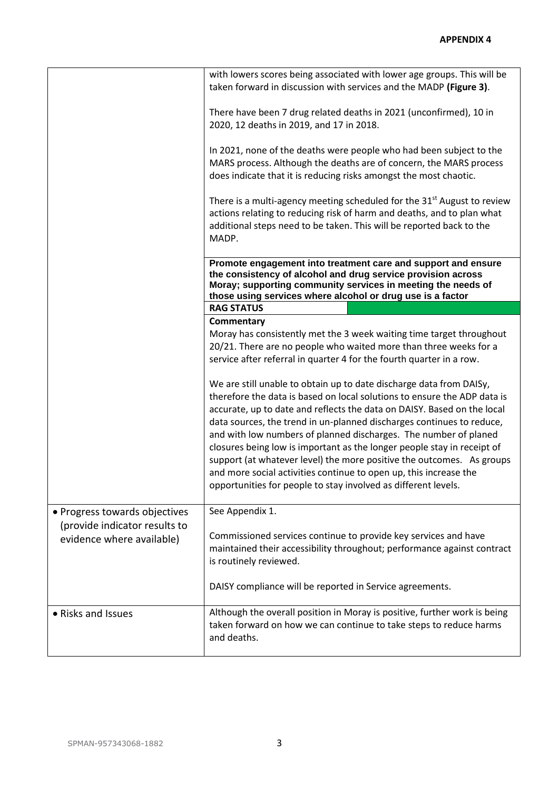|                               | with lowers scores being associated with lower age groups. This will be<br>taken forward in discussion with services and the MADP (Figure 3).                                                                                                               |  |  |  |
|-------------------------------|-------------------------------------------------------------------------------------------------------------------------------------------------------------------------------------------------------------------------------------------------------------|--|--|--|
|                               | There have been 7 drug related deaths in 2021 (unconfirmed), 10 in<br>2020, 12 deaths in 2019, and 17 in 2018.                                                                                                                                              |  |  |  |
|                               | In 2021, none of the deaths were people who had been subject to the<br>MARS process. Although the deaths are of concern, the MARS process<br>does indicate that it is reducing risks amongst the most chaotic.                                              |  |  |  |
|                               | There is a multi-agency meeting scheduled for the 31 <sup>st</sup> August to review<br>actions relating to reducing risk of harm and deaths, and to plan what<br>additional steps need to be taken. This will be reported back to the<br>MADP.              |  |  |  |
|                               | Promote engagement into treatment care and support and ensure<br>the consistency of alcohol and drug service provision across<br>Moray; supporting community services in meeting the needs of<br>those using services where alcohol or drug use is a factor |  |  |  |
|                               | <b>RAG STATUS</b>                                                                                                                                                                                                                                           |  |  |  |
|                               | Commentary                                                                                                                                                                                                                                                  |  |  |  |
|                               | Moray has consistently met the 3 week waiting time target throughout                                                                                                                                                                                        |  |  |  |
|                               | 20/21. There are no people who waited more than three weeks for a                                                                                                                                                                                           |  |  |  |
|                               | service after referral in quarter 4 for the fourth quarter in a row.                                                                                                                                                                                        |  |  |  |
|                               | We are still unable to obtain up to date discharge data from DAISy,                                                                                                                                                                                         |  |  |  |
|                               | therefore the data is based on local solutions to ensure the ADP data is                                                                                                                                                                                    |  |  |  |
|                               | accurate, up to date and reflects the data on DAISY. Based on the local                                                                                                                                                                                     |  |  |  |
|                               | data sources, the trend in un-planned discharges continues to reduce,                                                                                                                                                                                       |  |  |  |
|                               | and with low numbers of planned discharges. The number of planed                                                                                                                                                                                            |  |  |  |
|                               | closures being low is important as the longer people stay in receipt of                                                                                                                                                                                     |  |  |  |
|                               |                                                                                                                                                                                                                                                             |  |  |  |
|                               |                                                                                                                                                                                                                                                             |  |  |  |
|                               | support (at whatever level) the more positive the outcomes. As groups                                                                                                                                                                                       |  |  |  |
|                               | and more social activities continue to open up, this increase the<br>opportunities for people to stay involved as different levels.                                                                                                                         |  |  |  |
| • Progress towards objectives | See Appendix 1.                                                                                                                                                                                                                                             |  |  |  |
| (provide indicator results to |                                                                                                                                                                                                                                                             |  |  |  |
| evidence where available)     | Commissioned services continue to provide key services and have<br>maintained their accessibility throughout; performance against contract<br>is routinely reviewed.                                                                                        |  |  |  |
|                               | DAISY compliance will be reported in Service agreements.                                                                                                                                                                                                    |  |  |  |
| • Risks and Issues            | Although the overall position in Moray is positive, further work is being<br>taken forward on how we can continue to take steps to reduce harms<br>and deaths.                                                                                              |  |  |  |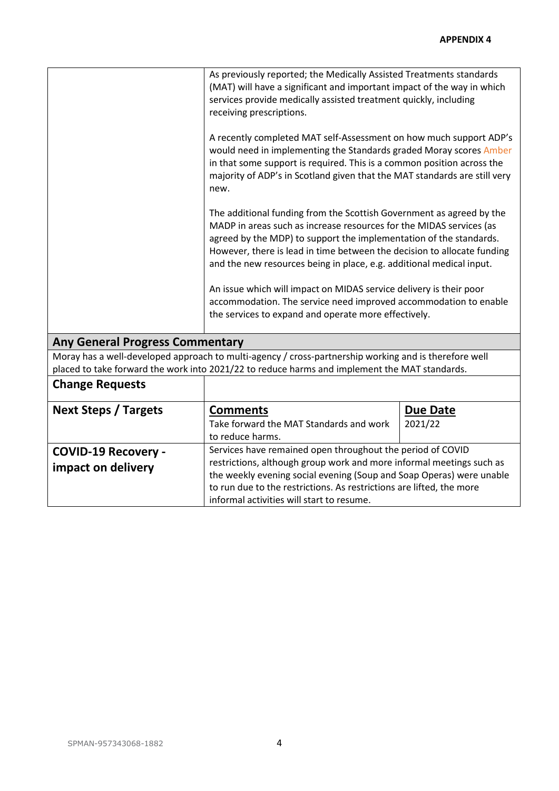| As previously reported; the Medically Assisted Treatments standards<br>(MAT) will have a significant and important impact of the way in which<br>services provide medically assisted treatment quickly, including<br>receiving prescriptions.<br>A recently completed MAT self-Assessment on how much support ADP's<br>would need in implementing the Standards graded Moray scores Amber<br>in that some support is required. This is a common position across the<br>majority of ADP's in Scotland given that the MAT standards are still very<br>new.<br>The additional funding from the Scottish Government as agreed by the<br>MADP in areas such as increase resources for the MIDAS services (as<br>agreed by the MDP) to support the implementation of the standards.<br>However, there is lead in time between the decision to allocate funding |                                                                                                                                                                                                               |  |  |  |
|----------------------------------------------------------------------------------------------------------------------------------------------------------------------------------------------------------------------------------------------------------------------------------------------------------------------------------------------------------------------------------------------------------------------------------------------------------------------------------------------------------------------------------------------------------------------------------------------------------------------------------------------------------------------------------------------------------------------------------------------------------------------------------------------------------------------------------------------------------|---------------------------------------------------------------------------------------------------------------------------------------------------------------------------------------------------------------|--|--|--|
| and the new resources being in place, e.g. additional medical input.                                                                                                                                                                                                                                                                                                                                                                                                                                                                                                                                                                                                                                                                                                                                                                                     |                                                                                                                                                                                                               |  |  |  |
| An issue which will impact on MIDAS service delivery is their poor<br>accommodation. The service need improved accommodation to enable<br>the services to expand and operate more effectively.                                                                                                                                                                                                                                                                                                                                                                                                                                                                                                                                                                                                                                                           |                                                                                                                                                                                                               |  |  |  |
| <b>Any General Progress Commentary</b>                                                                                                                                                                                                                                                                                                                                                                                                                                                                                                                                                                                                                                                                                                                                                                                                                   |                                                                                                                                                                                                               |  |  |  |
| Moray has a well-developed approach to multi-agency / cross-partnership working and is therefore well<br>placed to take forward the work into 2021/22 to reduce harms and implement the MAT standards.                                                                                                                                                                                                                                                                                                                                                                                                                                                                                                                                                                                                                                                   |                                                                                                                                                                                                               |  |  |  |
|                                                                                                                                                                                                                                                                                                                                                                                                                                                                                                                                                                                                                                                                                                                                                                                                                                                          |                                                                                                                                                                                                               |  |  |  |
| <b>Comments</b>                                                                                                                                                                                                                                                                                                                                                                                                                                                                                                                                                                                                                                                                                                                                                                                                                                          | <b>Due Date</b>                                                                                                                                                                                               |  |  |  |
| Take forward the MAT Standards and work                                                                                                                                                                                                                                                                                                                                                                                                                                                                                                                                                                                                                                                                                                                                                                                                                  | 2021/22                                                                                                                                                                                                       |  |  |  |
|                                                                                                                                                                                                                                                                                                                                                                                                                                                                                                                                                                                                                                                                                                                                                                                                                                                          |                                                                                                                                                                                                               |  |  |  |
| Services have remained open throughout the period of COVID                                                                                                                                                                                                                                                                                                                                                                                                                                                                                                                                                                                                                                                                                                                                                                                               |                                                                                                                                                                                                               |  |  |  |
| restrictions, although group work and more informal meetings such as                                                                                                                                                                                                                                                                                                                                                                                                                                                                                                                                                                                                                                                                                                                                                                                     |                                                                                                                                                                                                               |  |  |  |
|                                                                                                                                                                                                                                                                                                                                                                                                                                                                                                                                                                                                                                                                                                                                                                                                                                                          |                                                                                                                                                                                                               |  |  |  |
|                                                                                                                                                                                                                                                                                                                                                                                                                                                                                                                                                                                                                                                                                                                                                                                                                                                          |                                                                                                                                                                                                               |  |  |  |
|                                                                                                                                                                                                                                                                                                                                                                                                                                                                                                                                                                                                                                                                                                                                                                                                                                                          | to reduce harms.<br>the weekly evening social evening (Soup and Soap Operas) were unable<br>to run due to the restrictions. As restrictions are lifted, the more<br>informal activities will start to resume. |  |  |  |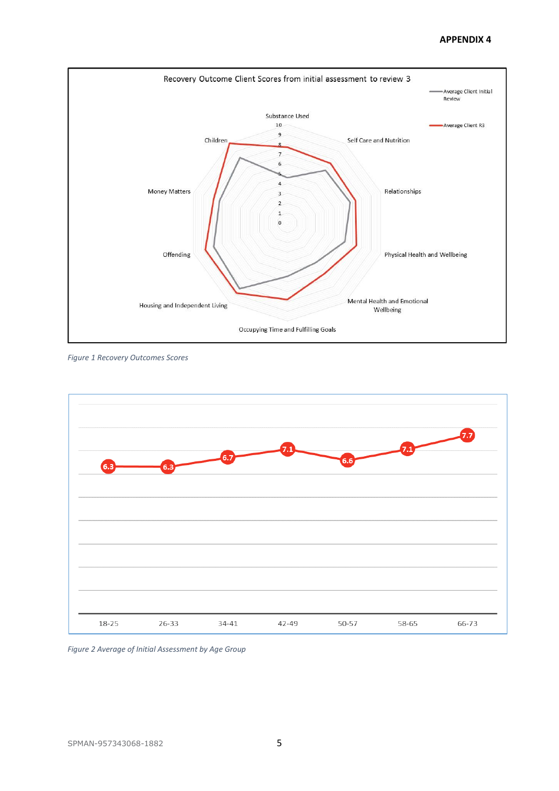## **APPENDIX 4**



*Figure 1 Recovery Outcomes Scores*



*Figure 2 Average of Initial Assessment by Age Group*